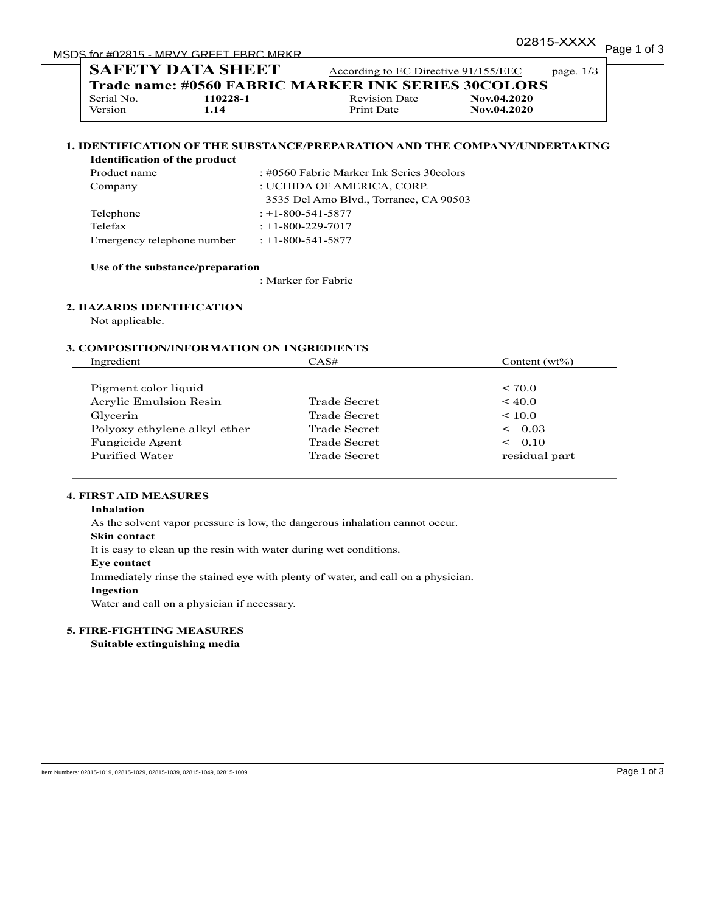# MSDS for #02815 - MRVY GRFFT FBRC MRKR

|                                                     | <b>SAFETY DATA SHEET</b> | According to EC Directive 91/155/EEC |             | page. $1/3$ |  |  |
|-----------------------------------------------------|--------------------------|--------------------------------------|-------------|-------------|--|--|
| Trade name: #0560 FABRIC MARKER INK SERIES 30COLORS |                          |                                      |             |             |  |  |
| Serial No.                                          | 110228-1                 | <b>Revision Date</b>                 | Nov.04.2020 |             |  |  |
| Version                                             | 1.14                     | Print Date                           | Nov.04.2020 |             |  |  |

# **1. IDENTIFICATION OF THE SUBSTANCE/PREPARATION AND THE COMPANY/UNDERTAKING**

# **Identification of the product**

| Product name               | : #0560 Fabric Marker Ink Series 30 colors |  |
|----------------------------|--------------------------------------------|--|
| Company                    | : UCHIDA OF AMERICA, CORP.                 |  |
|                            | 3535 Del Amo Blvd., Torrance, CA 90503     |  |
| Telephone                  | $: +1 - 800 - 541 - 5877$                  |  |
| Telefax                    | $: +1 - 800 - 229 - 7017$                  |  |
| Emergency telephone number | $: +1 - 800 - 541 - 5877$                  |  |

#### **Use of the substance/preparation**

: Marker for Fabric

# **2. HAZARDS IDENTIFICATION**

Not applicable.

#### **3. COMPOSITION/INFORMATION ON INGREDIENTS**

| Ingredient                   | CAS#          | Content $(wt\%)$ |
|------------------------------|---------------|------------------|
|                              |               |                  |
| Pigment color liquid         |               | < 70.0           |
| Acrylic Emulsion Resin       | Trade Secret. | ~10.0            |
| Glycerin                     | Trade Secret  | ${}_{\leq 10.0}$ |
| Polyoxy ethylene alkyl ether | Trade Secret  | 0.03<br>$\,<\,$  |
| Fungicide Agent              | Trade Secret  | 0.10<br>$\lt$    |
| Purified Water               | Trade Secret  | residual part    |

# **4. FIRST AID MEASURES**

#### **Inhalation**

As the solvent vapor pressure is low, the dangerous inhalation cannot occur.

#### **Skin contact**

It is easy to clean up the resin with water during wet conditions.

#### **Eye contact**

Immediately rinse the stained eye with plenty of water, and call on a physician.

#### **Ingestion**

Water and call on a physician if necessary.

## **5. FIRE-FIGHTING MEASURES**

**Suitable extinguishing media**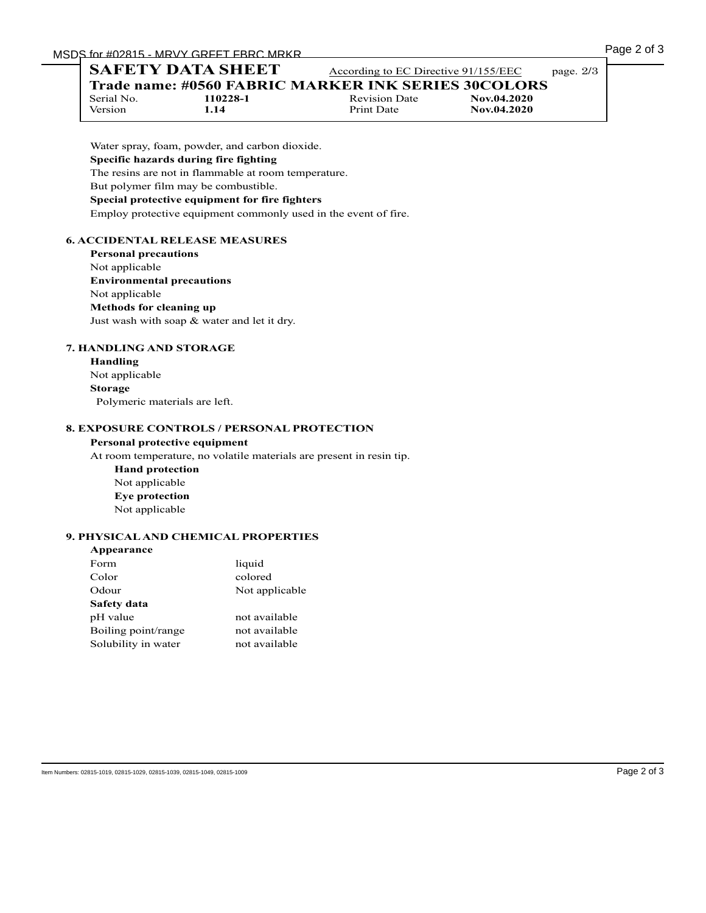# **SAFETY DATA SHEET** According to EC Directive 91/155/EEC page. 2/3

**Trade name: #0560 FABRIC MARKER INK SERIES 30COLORS**<br>Serial No. 110228-1<br>Revision Date Mov.04.2020

Serial No. **110228-1** Revision Date<br>
Version 1.14 Print Date

Version **1.14** Print Date **Nov.04.2020**

The resins are not in flammable at room temperature.

# But polymer film may be combustible.

# **Special protective equipment for fire fighters**

Employ protective equipment commonly used in the event of fire.

# **6. ACCIDENTAL RELEASE MEASURES**

**Personal precautions** Not applicable **Environmental precautions** Not applicable **Methods for cleaning up** Just wash with soap & water and let it dry.

# **7. HANDLING AND STORAGE**

**Handling** Not applicable **Storage** Polymeric materials are left.

#### **8. EXPOSURE CONTROLS / PERSONAL PROTECTION**

#### **Personal protective equipment**

At room temperature, no volatile materials are present in resin tip.

**Hand protection** Not applicable **Eye protection** Not applicable

# **9. PHYSICAL AND CHEMICAL PROPERTIES**

| Appearance          |                |
|---------------------|----------------|
| Form                | liquid         |
| Color               | colored        |
| Odour               | Not applicable |
| Safety data         |                |
| pH value            | not available  |
| Boiling point/range | not available  |
| Solubility in water | not available  |
|                     |                |